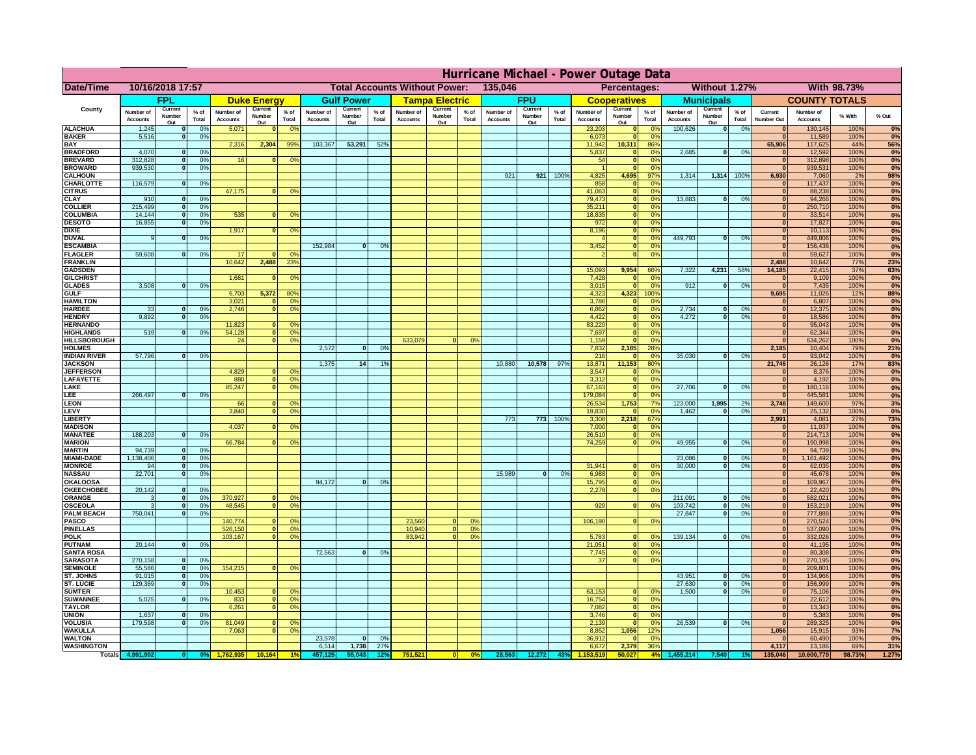|                                       | Hurricane Michael - Power Outage Data |                          |                                  |                              |                    |                                                 |                              |                          |                 |                              |                         |                                                            |                              |                          |                 |                              |                              |                       |                              |                   |                 |                              |                              |                   |            |
|---------------------------------------|---------------------------------------|--------------------------|----------------------------------|------------------------------|--------------------|-------------------------------------------------|------------------------------|--------------------------|-----------------|------------------------------|-------------------------|------------------------------------------------------------|------------------------------|--------------------------|-----------------|------------------------------|------------------------------|-----------------------|------------------------------|-------------------|-----------------|------------------------------|------------------------------|-------------------|------------|
| Date/Time                             | 10/16/2018 17:57                      |                          |                                  |                              |                    | <b>Total Accounts Without Power:</b><br>135,046 |                              |                          |                 |                              |                         | <b>Without 1.27%</b><br><b>With 98.73%</b><br>Percentages: |                              |                          |                 |                              |                              |                       |                              |                   |                 |                              |                              |                   |            |
|                                       |                                       | <b>FPL</b>               |                                  |                              | <b>Duke Energy</b> |                                                 |                              | <b>Gulf Power</b>        |                 |                              | <b>Tampa Electric</b>   |                                                            |                              | <b>FPU</b>               |                 |                              | <b>Cooperatives</b>          |                       |                              | <b>Municipals</b> |                 |                              | <b>COUNTY TOTALS</b>         |                   |            |
| County                                | Number of<br><b>Accounts</b>          | Current<br>Number        | % of<br>Total                    | Number of<br><b>Accounts</b> | Current<br>Number  | $%$ of<br>Total                                 | Number of<br><b>Accounts</b> | Current<br>Number<br>Out | $%$ of<br>Total | Number of<br><b>Accounts</b> | Current<br>Number       | $%$ of<br>Total                                            | Number of<br><b>Accounts</b> | Current<br>Number<br>Out | $%$ of<br>Total | Number of<br><b>Accounts</b> | Current<br>Number            | $%$ of<br>Total       | Number of<br><b>Accounts</b> | Current<br>Number | $%$ of<br>Total | Current<br><b>Number Out</b> | Number of<br><b>Accounts</b> | % With            | % Out      |
| <b>ALACHUA</b>                        | 1,245                                 | Out                      | 0 <sup>9</sup>                   | 5,071                        | Out<br>$\bf{0}$    | 0 <sup>9</sup>                                  |                              |                          |                 |                              | Out                     |                                                            |                              |                          |                 | 23,203                       | Out<br>$\mathbf{0}$          | 0 <sup>9</sup>        | 100,626                      | Out<br> 0         | 0%              | $\bf{0}$                     | 130,145                      | 100%              | 0%         |
| <b>BAKER</b><br><b>BAY</b>            | 5,516                                 |                          | 0%                               | 2,316                        | 2,304              | 99%                                             | 103,367                      | 53,291                   | 52%             |                              |                         |                                                            |                              |                          |                 | 6,073<br>11,942              | ō<br>10,311                  | 0%<br>86%             |                              |                   |                 | $\bf{0}$<br>65,906           | 11,589<br>117,625            | 100%<br>44%       | 0%         |
| <b>BRADFORD</b>                       | 4,070                                 |                          | 0%                               |                              |                    |                                                 |                              |                          |                 |                              |                         |                                                            |                              |                          |                 | 5,837                        | $\mathbf{0}$                 | 0%                    | 2,685                        | 0                 | 0%              | $\bf{0}$                     | 12,592                       | 100%              | 56%<br>0%  |
| <b>BREVARD</b>                        | 312,828                               |                          | 0 <sup>9</sup>                   | 16                           | $\mathbf{0}$       | 0%                                              |                              |                          |                 |                              |                         |                                                            |                              |                          |                 | 54                           | $\mathbf{0}$                 | 0%                    |                              |                   |                 | $\mathbf{0}$                 | 312,898                      | 100%              | 0%         |
| <b>BROWARD</b><br><b>CALHOUN</b>      | 939.530                               |                          | 0 <sup>9</sup>                   |                              |                    |                                                 |                              |                          |                 |                              |                         |                                                            | 921                          | 921                      | 100%            | 4,825                        | $\mathbf{0}$<br>4,695        | 0%<br>97%             | 1,314                        | 1,314 100%        |                 | $\bf{0}$<br>6,930            | 939,531<br>7,060             | 100%<br>2%        | 0%<br>98%  |
| CHARLOTTE                             | 116,579                               |                          | 0%                               |                              |                    |                                                 |                              |                          |                 |                              |                         |                                                            |                              |                          |                 | 858                          | $\mathbf{0}$                 | 0%                    |                              |                   |                 | $\bf{0}$                     | 117,437                      | 100%              | 0%         |
| <b>CITRUS</b>                         |                                       |                          |                                  | 47,175                       | $\bf{0}$           | 0 <sup>9</sup>                                  |                              |                          |                 |                              |                         |                                                            |                              |                          |                 | 41,063                       | $\mathbf{0}$                 | 0 <sup>9</sup>        |                              |                   |                 | $\bf{0}$                     | 88,238                       | 100%              | 0%         |
| <b>CLAY</b><br><b>COLLIER</b>         | 910<br>215,499                        |                          | 0 <sup>9</sup><br>0 <sup>9</sup> |                              |                    |                                                 |                              |                          |                 |                              |                         |                                                            |                              |                          |                 | 79,473<br>35,211             | $\mathbf{0}$<br>$\mathbf{0}$ | 0 <sup>9</sup><br>0%  | 13,883                       | $\mathbf{0}$      | 0%              | $\bf{0}$<br>$\bf{0}$         | 94,266<br>250,710            | 100%<br>100%      | 0%<br>0%   |
| <b>COLUMBIA</b>                       | 14,144                                |                          | 0 <sup>9</sup>                   | 535                          | $\bf{0}$           | 0 <sup>9</sup>                                  |                              |                          |                 |                              |                         |                                                            |                              |                          |                 | 18,835                       | ō                            | 0%                    |                              |                   |                 | $\bf{0}$                     | 33,514                       | 100%              | 0%         |
| <b>DESOTO</b>                         | 16,855                                |                          | 0 <sup>9</sup>                   |                              |                    |                                                 |                              |                          |                 |                              |                         |                                                            |                              |                          |                 | 972                          | ō                            | 0%                    |                              |                   |                 | $\bf{0}$                     | 17,827                       | 100%              | 0%         |
| <b>DIXIE</b><br><b>DUVAL</b>          |                                       |                          | 0%                               | 1,917                        | $\mathbf{0}$       | 0 <sup>o</sup>                                  |                              |                          |                 |                              |                         |                                                            |                              |                          |                 | 8,196                        | $\mathbf{0}$<br>$\mathbf{0}$ | nº<br>0%              | 449.793                      | ol                | 0%              | $\bf{0}$<br>$\Omega$         | 10,113<br>449,806            | 100%<br>100%      | 0%<br>0%   |
| <b>ESCAMBIA</b>                       |                                       |                          |                                  |                              |                    |                                                 | 152,984                      | $\bf{0}$                 | 0 <sup>9</sup>  |                              |                         |                                                            |                              |                          |                 | 3,452                        | $\mathbf{0}$                 | 0%                    |                              |                   |                 | $\mathbf{0}$                 | 156,436                      | 100%              | 0%         |
| <b>FLAGLER</b>                        | 59,608                                |                          | 0%                               | 17                           | $\mathbf{r}$       | 0 <sup>9</sup>                                  |                              |                          |                 |                              |                         |                                                            |                              |                          |                 |                              | $\bullet$                    | 0%                    |                              |                   |                 | $\Omega$                     | 59,627                       | 100%              | 0%         |
| <b>FRANKLIN</b><br><b>GADSDEN</b>     |                                       |                          |                                  | 10,642                       | 2,488              | 23 <sup>9</sup>                                 |                              |                          |                 |                              |                         |                                                            |                              |                          |                 | 15,093                       | 9,954                        | 66%                   | 7,322                        | 4,231             | 58%             | 2,488<br>14,185              | 10,642<br>22,415             | <b>77%</b><br>37% | 23%<br>63% |
| <b>GILCHRIST</b>                      |                                       |                          |                                  | 1,681                        | $\Omega$           | 0 <sup>9</sup>                                  |                              |                          |                 |                              |                         |                                                            |                              |                          |                 | 7,428                        | $\mathbf{0}$                 | 0%                    |                              |                   |                 | 0                            | 9,109                        | 100%              | 0%         |
| <b>GLADES</b>                         | 3,508                                 |                          | 0 <sup>9</sup>                   |                              |                    |                                                 |                              |                          |                 |                              |                         |                                                            |                              |                          |                 | 3,015                        | $\bullet$                    | 0%                    | 912                          | $\overline{0}$    | 0%              | 0                            | 7,435                        | 100%              | 0%         |
| <b>GULF</b><br><b>HAMILTON</b>        |                                       |                          |                                  | 6,703<br>3,021               | 5,372<br>n l       | 80%<br>0 <sup>9</sup>                           |                              |                          |                 |                              |                         |                                                            |                              |                          |                 | 4,323<br>3,786               | 4,323<br>$\mathbf{0}$        | 100%<br>0%            |                              |                   |                 | 9,695<br>$\Omega$            | 11,026<br>6,807              | 12%<br>100%       | 88%<br>0%  |
| <b>HARDEE</b>                         | 33                                    |                          | 0%                               | 2.746                        | n l                | 0 <sup>9</sup>                                  |                              |                          |                 |                              |                         |                                                            |                              |                          |                 | 6.862                        | 0                            | 0%                    | 2.734                        | $\mathbf{0}$      | 0%              | 0                            | 12,375                       | 100%              | 0%         |
| <b>HENDRY</b>                         | 9.892                                 |                          | 0%                               |                              |                    |                                                 |                              |                          |                 |                              |                         |                                                            |                              |                          |                 | 4.422                        | 0                            | 0%                    | 4.272                        | $\mathbf{0}$      | 0%              | 0                            | 18.586                       | 100%              | 0%         |
| <b>HERNANDO</b><br><b>HIGHLANDS</b>   | 519                                   |                          | 0 <sup>9</sup>                   | 11,823<br>54,128             | <sup>o</sup>       | $\Omega$<br>$\overline{0}$<br>0%                |                              |                          |                 |                              |                         |                                                            |                              |                          |                 | 83,220<br>7,697              | 0 <br>ō                      | 0%<br>0%              |                              |                   |                 | 0 <br> 0                     | 95,043<br>62,344             | 100%<br>100%      | 0%<br>0%   |
| <b>HILLSBOROUGH</b>                   |                                       |                          |                                  | 24                           |                    | $\overline{0}$<br>0%                            |                              |                          |                 | 633,079                      |                         | 0%                                                         |                              |                          |                 | 1,159                        | $\mathbf{0}$                 | 0%                    |                              |                   |                 | 0                            | 634,262                      | 100%              | 0%         |
| <b>HOLMES</b>                         |                                       |                          |                                  |                              |                    |                                                 | 2,572                        | $\mathbf{0}$             | 0%              |                              |                         |                                                            |                              |                          |                 | 7,832                        | 2,185                        | 28%                   |                              |                   |                 | 2,185                        | 10,404                       | 79%               | 21%        |
| <b>INDIAN RIVER</b><br><b>JACKSON</b> | 57,796                                |                          | 0%                               |                              |                    |                                                 | 1,375                        | 14                       | 19              |                              |                         |                                                            | 10,880                       | 10,578                   | 97%             | 216<br>13,871                | $\mathbf{0}$<br>11,153       | 0 <sup>9</sup><br>80% | 35,030                       | $\mathbf{0}$      | 0%              | $\bf{0}$<br>21,745           | 93,042<br>26,126             | 100%<br>17%       | 0%<br>83%  |
| <b>JEFFERSON</b>                      |                                       |                          |                                  | 4,829                        | οI                 | 0 <sup>9</sup>                                  |                              |                          |                 |                              |                         |                                                            |                              |                          |                 | 3,547                        | $\mathbf 0$                  | 0%                    |                              |                   |                 | $\mathbf{0}$                 | 8,376                        | 100%              | 0%         |
| LAFAYETTE                             |                                       |                          |                                  | 880                          |                    | $\overline{0}$<br>0%                            |                              |                          |                 |                              |                         |                                                            |                              |                          |                 | 3,312                        | $\mathbf{0}$                 | 0%                    |                              |                   |                 | 0                            | 4,192                        | 100%              | 0%         |
| LAKE<br>LEE                           | 266,497                               |                          | 0%                               | 85,247                       |                    | $\overline{0}$<br>0%                            |                              |                          |                 |                              |                         |                                                            |                              |                          |                 | 67,163<br>179,084            | $\mathbf{0}$<br>$\mathbf{0}$ | 0%<br>0%              | 27,706                       | $\Omega$          | 0%              | 0 <br> 0                     | 180,116<br>445,581           | 100%<br>100%      | 0%<br>0%   |
| <b>LEON</b>                           |                                       |                          |                                  | 66                           | $\Omega$           | O <sup>9</sup>                                  |                              |                          |                 |                              |                         |                                                            |                              |                          |                 | 26,534                       | 1,753                        | 7%                    | 123,000                      | 1,995             | 2%              | 3,748                        | 149,600                      | 97%               | 3%         |
| LEVY                                  |                                       |                          |                                  | 3,840                        | $\Omega$           | 0 <sup>9</sup>                                  |                              |                          |                 |                              |                         |                                                            |                              |                          |                 | 19,830                       | $\mathbf{0}$                 | 0%                    | 1,462                        | $\mathbf{0}$      | 0%              | 0                            | 25,132                       | 100%              | 0%         |
| LIBERTY<br><b>MADISON</b>             |                                       |                          |                                  | 4,037                        | <sup>o</sup>       | 0 <sup>9</sup>                                  |                              |                          |                 |                              |                         |                                                            | 773                          | 773                      | 100%            | 3,308<br>7,000               | 2,218<br>$\mathbf{0}$        | 67%<br>0%             |                              |                   |                 | 2,991<br> 0                  | 4,081<br>11,037              | 27%<br>100%       | 73%<br>0%  |
| <b>MANATEE</b>                        | 188,203                               | $\Omega$                 | 0%                               |                              |                    |                                                 |                              |                          |                 |                              |                         |                                                            |                              |                          |                 | 26,510                       | 0                            | 0%                    |                              |                   |                 | 0                            | 214,713                      | 100%              | 0%         |
| <b>MARION</b>                         |                                       |                          |                                  | 66,784                       |                    | 0°                                              |                              |                          |                 |                              |                         |                                                            |                              |                          |                 | 74,259                       |                              | 0 <br>0%              | 49,955                       | $\Omega$          | 0%              | 0                            | 190,998                      | 100%              | 0%         |
| <b>MARTIN</b>                         | 94,739<br>1,138,406                   | $\Omega$<br>$\mathbf{o}$ | 0 <sup>9</sup>                   |                              |                    |                                                 |                              |                          |                 |                              |                         |                                                            |                              |                          |                 |                              |                              |                       | 23,086                       | $\mathbf 0$       | 0%              | 0                            | 94,739                       | 100%              | 0%<br>0%   |
| <b>MIAMI-DADE</b><br><b>MONROE</b>    | 94                                    | 0                        | 0 <sup>9</sup><br>0%             |                              |                    |                                                 |                              |                          |                 |                              |                         |                                                            |                              |                          |                 | 31,941                       | $\mathbf{0}$                 | 0 <sup>9</sup>        | 30,000                       | $\mathbf{0}$      | 0%              | 0 <br> 0                     | 1,161,492<br>62,035          | 100%<br>100%      | 0%         |
| <b>NASSAU</b>                         | 22,701                                | $\Omega$                 | 0%                               |                              |                    |                                                 |                              |                          |                 |                              |                         |                                                            | 15,989                       | 0                        | 0%              | 6,988                        |                              | 0 <br>0%              |                              |                   |                 | 0                            | 45,678                       | 100%              | 0%         |
| OKALOOSA<br><b>OKEECHOBEE</b>         | 20,142                                |                          | 0 <sup>9</sup>                   |                              |                    |                                                 | 94,172                       | $\bf{0}$                 | 0%              |                              |                         |                                                            |                              |                          |                 | 15,795                       | 0                            | 0%<br>0%<br> 0        |                              |                   |                 | 0                            | 109,967                      | 100%              | 0%<br>0%   |
| ORANGE                                |                                       | $\Omega$                 | 0 <sup>9</sup>                   | 370,927                      | $\Omega$           | 0 <sup>6</sup>                                  |                              |                          |                 |                              |                         |                                                            |                              |                          |                 | 2,278                        |                              |                       | 211,091                      | $\mathbf{0}$      | 0%              | 0 <br> 0                     | 22,420<br>582,021            | 100%<br>100%      | 0%         |
| <b>OSCEOLA</b>                        |                                       | $\Omega$                 | 0 <sup>9</sup>                   | 48,545                       | $\Omega$           | $\overline{0}$                                  |                              |                          |                 |                              |                         |                                                            |                              |                          |                 | 929                          |                              | 0 <br>0 <sup>9</sup>  | 103,742                      | 0                 | 0%              | 0                            | 153,219                      | 100%              | 0%         |
| <b>PALM BEACH</b><br>PASCO            | 750,041                               | $\Omega$                 | 0 <sup>9</sup>                   | 140,774                      | $\Omega$           | $^{\circ}$                                      |                              |                          |                 | 23,560                       | $\Omega$                | 0%                                                         |                              |                          |                 | 106,190                      |                              | 0 <br>0%              | 27,847                       | $\overline{0}$    | 0%              | 0 <br> 0                     | 777,888                      | 100%<br>100%      | 0%         |
| <b>PINELLAS</b>                       |                                       |                          |                                  | 526,150                      |                    | 0 <sup>9</sup><br> 0                            |                              |                          |                 | 10,940                       | $\overline{\mathbf{0}}$ | 0%                                                         |                              |                          |                 |                              |                              |                       |                              |                   |                 | $\mathbf{0}$                 | 270,524<br>537,090           | 100%              | 0%<br>0%   |
| <b>POLK</b>                           |                                       |                          |                                  | 103,167                      |                    | 0 <sup>9</sup><br> 0                            |                              |                          |                 | 83,942                       | 0                       | 0%                                                         |                              |                          |                 | 5,783                        | 0                            | nº                    | 139,134                      | 0                 | 0%              | 0                            | 332,026                      | 100%              | 0%         |
| <b>PUTNAM</b><br><b>SANTA ROSA</b>    | 20,144                                | $\mathbf{0}$             | 0%                               |                              |                    |                                                 | 72,563                       | 0                        | 0%              |                              |                         |                                                            |                              |                          |                 | 21,051<br>7,745              | 0                            | 0%<br>0%              |                              |                   |                 | $\bf{0}$<br>$\mathbf{0}$     | 41,195                       | 100%<br>100%      | 0%         |
| <b>SARASOTA</b>                       | 270,158                               | $\Omega$                 | 0%                               |                              |                    |                                                 |                              |                          |                 |                              |                         |                                                            |                              |                          |                 | 37                           |                              | 0 <br> 0 <br>0%       |                              |                   |                 | $\mathbf{0}$                 | 80,308<br>270,195            | 100%              | 0%<br>0%   |
| <b>SEMINOLE</b>                       | 55,586                                | $\mathbf{0}$             | 0 <sup>9</sup>                   | 154,215                      |                    | $\mathbf{0}$<br>0 <sup>9</sup>                  |                              |                          |                 |                              |                         |                                                            |                              |                          |                 |                              |                              |                       |                              |                   |                 | $\mathbf{0}$                 | 209,801                      | 100%              | 0%         |
| <b>ST. JOHNS</b><br><b>ST. LUCIE</b>  | 91.015<br>129.369                     | $\Omega$<br>$\Omega$     | 0 <sup>9</sup>                   |                              |                    |                                                 |                              |                          |                 |                              |                         |                                                            |                              |                          |                 |                              |                              |                       | 43,951<br>27.630             | -ol               | 0%              | 0                            | 134,966<br>156.999           | 100%              | 0%<br>0%   |
| <b>SUMTER</b>                         |                                       |                          | 0%                               | 10,453                       | $\mathbf{0}$       | $\Omega$                                        |                              |                          |                 |                              |                         |                                                            |                              |                          |                 | 63,153                       | $\mathbf{0}$                 | 0%                    | 1.500                        | - O I<br>0        | 0%<br>0%        | 0 <br>$\overline{0}$         | 75,106                       | 100%<br>100%      | 0%         |
| <b>SUWANNEE</b>                       | 5,025                                 | $\Omega$                 | 0%                               | 833                          |                    | 0 <sup>9</sup><br> 0                            |                              |                          |                 |                              |                         |                                                            |                              |                          |                 | 16,754                       | 0                            | 0%                    |                              |                   |                 | $\mathbf{0}$                 | 22,612                       | 100%              | 0%         |
| <b>TAYLOR</b>                         |                                       |                          |                                  | 6,261                        |                    | 0 <br>0 <sup>9</sup>                            |                              |                          |                 |                              |                         |                                                            |                              |                          |                 | 7,082                        | 0                            | 0%                    |                              |                   |                 | $\bf{0}$                     | 13,343                       | 100%              | 0%         |
| <b>UNION</b><br>VOLUSIA               | 1,637<br>179,598                      |                          | 0 <sup>9</sup><br>0 <sup>9</sup> | 81,049                       | $\mathbf{0}$       | 0 <sup>6</sup>                                  |                              |                          |                 |                              |                         |                                                            |                              |                          |                 | 3,746<br>2,139               | $\mathbf 0$<br>$\mathbf 0$   | 0%<br>0%              | 26,539                       | 0                 | 0%              | $\bf{0}$<br> 0               | 5,383<br>289,325             | 100%<br>100%      | 0%<br>0%   |
| <b>WAKULLA</b>                        |                                       |                          |                                  | 7,063                        | $\mathbf{0}$       | 0 <sup>9</sup>                                  |                              |                          |                 |                              |                         |                                                            |                              |                          |                 | 8,852                        | 1,056                        | 12%                   |                              |                   |                 | 1,056                        | 15,915                       | 93%               | 7%         |
| <b>WALTON</b><br><b>WASHINGTON</b>    |                                       |                          |                                  |                              |                    |                                                 | 23,578<br>6,514              | $\mathbf{0}$<br>1,738    | 0%<br>27%       |                              |                         |                                                            |                              |                          |                 | 36,912<br>6,672              | $\mathbf 0$<br>2,379         | 0%<br>36%             |                              |                   |                 | $\bf{0}$<br>4,117            | 60,490<br>13,186             | 100%<br>69%       | 0%<br>31%  |
| Totals 4,9                            |                                       |                          |                                  |                              |                    |                                                 |                              | 55.043                   |                 | 751,521                      |                         | 0%                                                         | 28,563                       | 12,272                   | 43              |                              | 50,02                        | 4%                    |                              | 540               |                 | 135,046                      | 10,600,779                   | 98.73%            | 1.27%      |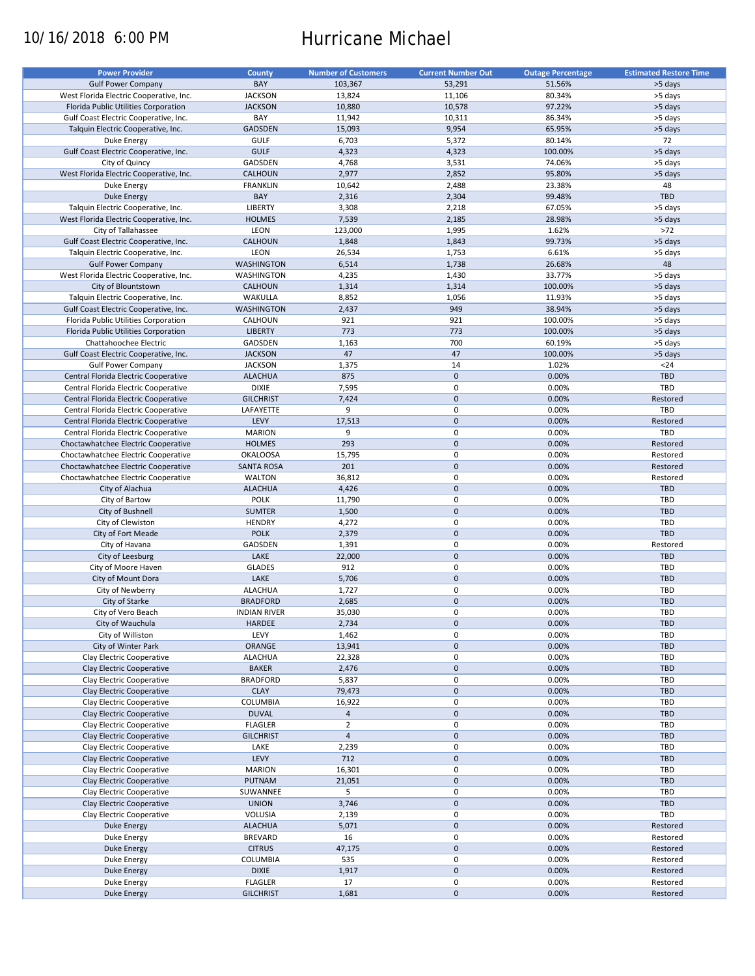# 10/16/2018 6:00 PM Hurricane Michael

| <b>Power Provider</b>                   | <b>County</b>       | <b>Number of Customers</b> | <b>Current Number Out</b> | <b>Outage Percentage</b> | <b>Estimated Restore Time</b> |
|-----------------------------------------|---------------------|----------------------------|---------------------------|--------------------------|-------------------------------|
|                                         |                     |                            |                           |                          |                               |
| <b>Gulf Power Company</b>               | BAY                 | 103,367                    | 53,291                    | 51.56%                   | >5 days                       |
| West Florida Electric Cooperative, Inc. | <b>JACKSON</b>      | 13,824                     | 11,106                    | 80.34%                   | >5 days                       |
| Florida Public Utilities Corporation    | <b>JACKSON</b>      | 10,880                     | 10,578                    | 97.22%                   | >5 days                       |
| Gulf Coast Electric Cooperative, Inc.   | BAY                 | 11,942                     | 10,311                    | 86.34%                   | >5 days                       |
| Talquin Electric Cooperative, Inc.      | GADSDEN             | 15,093                     | 9,954                     | 65.95%                   | >5 days                       |
| Duke Energy                             | <b>GULF</b>         | 6,703                      | 5,372                     | 80.14%                   | 72                            |
|                                         |                     |                            |                           |                          |                               |
| Gulf Coast Electric Cooperative, Inc.   | <b>GULF</b>         | 4,323                      | 4,323                     | 100.00%                  | >5 days                       |
| City of Quincy                          | GADSDEN             | 4,768                      | 3,531                     | 74.06%                   | >5 days                       |
| West Florida Electric Cooperative, Inc. | <b>CALHOUN</b>      | 2,977                      | 2,852                     | 95.80%                   | >5 days                       |
| Duke Energy                             | <b>FRANKLIN</b>     | 10,642                     | 2,488                     | 23.38%                   | 48                            |
| <b>Duke Energy</b>                      | BAY                 | 2,316                      | 2,304                     | 99.48%                   | <b>TBD</b>                    |
| Talquin Electric Cooperative, Inc.      | LIBERTY             | 3,308                      | 2,218                     | 67.05%                   | >5 days                       |
| West Florida Electric Cooperative, Inc. | <b>HOLMES</b>       | 7,539                      | 2,185                     | 28.98%                   | >5 days                       |
|                                         |                     |                            |                           |                          |                               |
| City of Tallahassee                     | LEON                | 123,000                    | 1,995                     | 1.62%                    | $>72$                         |
| Gulf Coast Electric Cooperative, Inc.   | <b>CALHOUN</b>      | 1,848                      | 1,843                     | 99.73%                   | >5 days                       |
| Talquin Electric Cooperative, Inc.      | LEON                | 26,534                     | 1,753                     | 6.61%                    | >5 days                       |
| <b>Gulf Power Company</b>               | <b>WASHINGTON</b>   | 6,514                      | 1,738                     | 26.68%                   | 48                            |
| West Florida Electric Cooperative, Inc. | WASHINGTON          | 4,235                      | 1,430                     | 33.77%                   | >5 days                       |
| City of Blountstown                     | <b>CALHOUN</b>      | 1,314                      | 1,314                     | 100.00%                  | >5 days                       |
|                                         |                     |                            |                           |                          |                               |
| Talquin Electric Cooperative, Inc.      | WAKULLA             | 8,852                      | 1,056                     | 11.93%                   | >5 days                       |
| Gulf Coast Electric Cooperative, Inc.   | <b>WASHINGTON</b>   | 2,437                      | 949                       | 38.94%                   | >5 days                       |
| Florida Public Utilities Corporation    | CALHOUN             | 921                        | 921                       | 100.00%                  | >5 days                       |
| Florida Public Utilities Corporation    | <b>LIBERTY</b>      | 773                        | 773                       | 100.00%                  | >5 days                       |
| Chattahoochee Electric                  | <b>GADSDEN</b>      | 1,163                      | 700                       | 60.19%                   | >5 days                       |
| Gulf Coast Electric Cooperative, Inc.   | <b>JACKSON</b>      | 47                         | 47                        | 100.00%                  | >5 days                       |
|                                         |                     |                            | 14                        | 1.02%                    | $24$                          |
| <b>Gulf Power Company</b>               | <b>JACKSON</b>      | 1,375                      |                           |                          |                               |
| Central Florida Electric Cooperative    | <b>ALACHUA</b>      | 875                        | $\mathbf 0$               | 0.00%                    | <b>TBD</b>                    |
| Central Florida Electric Cooperative    | <b>DIXIE</b>        | 7,595                      | 0                         | 0.00%                    | TBD                           |
| Central Florida Electric Cooperative    | <b>GILCHRIST</b>    | 7,424                      | $\mathbf 0$               | 0.00%                    | Restored                      |
| Central Florida Electric Cooperative    | LAFAYETTE           | 9                          | 0                         | 0.00%                    | TBD                           |
| Central Florida Electric Cooperative    | LEVY                | 17,513                     | $\mathbf 0$               | 0.00%                    | Restored                      |
| Central Florida Electric Cooperative    | <b>MARION</b>       | 9                          | 0                         | 0.00%                    | TBD                           |
| Choctawhatchee Electric Cooperative     | <b>HOLMES</b>       | 293                        | $\mathbf 0$               | 0.00%                    | Restored                      |
|                                         |                     |                            |                           |                          |                               |
| Choctawhatchee Electric Cooperative     | <b>OKALOOSA</b>     | 15,795                     | 0                         | 0.00%                    | Restored                      |
| Choctawhatchee Electric Cooperative     | <b>SANTA ROSA</b>   | 201                        | $\mathbf 0$               | 0.00%                    | Restored                      |
| Choctawhatchee Electric Cooperative     | <b>WALTON</b>       | 36,812                     | 0                         | 0.00%                    | Restored                      |
| City of Alachua                         | <b>ALACHUA</b>      | 4,426                      | $\mathbf 0$               | 0.00%                    | <b>TBD</b>                    |
| City of Bartow                          | POLK                | 11,790                     | $\pmb{0}$                 | 0.00%                    | TBD                           |
| City of Bushnell                        | <b>SUMTER</b>       | 1,500                      | $\mathbf 0$               | 0.00%                    | <b>TBD</b>                    |
| City of Clewiston                       | <b>HENDRY</b>       | 4,272                      | 0                         | 0.00%                    | TBD                           |
| City of Fort Meade                      | <b>POLK</b>         | 2,379                      | $\mathbf 0$               | 0.00%                    | <b>TBD</b>                    |
|                                         |                     |                            |                           |                          |                               |
| City of Havana                          | GADSDEN             | 1,391                      | $\pmb{0}$                 | 0.00%                    | Restored                      |
| City of Leesburg                        | LAKE                | 22,000                     | $\mathbf 0$               | 0.00%                    | <b>TBD</b>                    |
| City of Moore Haven                     | <b>GLADES</b>       | 912                        | 0                         | 0.00%                    | TBD                           |
| City of Mount Dora                      | LAKE                | 5,706                      | $\mathbf 0$               | 0.00%                    | <b>TBD</b>                    |
| City of Newberry                        | <b>ALACHUA</b>      | 1,727                      | 0                         | 0.00%                    | <b>TBD</b>                    |
| City of Starke                          | <b>BRADFORD</b>     | 2,685                      | $\mathbf 0$               | 0.00%                    | <b>TBD</b>                    |
| City of Vero Beach                      | <b>INDIAN RIVER</b> | 35,030                     | $\mathbf 0$               | 0.00%                    | TBD                           |
|                                         |                     |                            |                           |                          |                               |
| City of Wauchula                        | HARDEE              | 2,734                      | $\pmb{0}$                 | 0.00%                    | TBD                           |
| City of Williston                       | LEVY                | 1,462                      | 0                         | 0.00%                    | TBD                           |
| City of Winter Park                     | ORANGE              | 13,941                     | $\mathsf{O}\xspace$       | 0.00%                    | <b>TBD</b>                    |
| Clay Electric Cooperative               | <b>ALACHUA</b>      | 22,328                     | 0                         | 0.00%                    | TBD                           |
| Clay Electric Cooperative               | <b>BAKER</b>        | 2,476                      | $\mathsf{O}\xspace$       | 0.00%                    | TBD                           |
| Clay Electric Cooperative               | <b>BRADFORD</b>     | 5,837                      | 0                         | 0.00%                    | TBD                           |
| Clay Electric Cooperative               | <b>CLAY</b>         | 79,473                     | $\mathsf{O}\xspace$       | 0.00%                    | TBD                           |
|                                         |                     |                            |                           |                          |                               |
| Clay Electric Cooperative               | COLUMBIA            | 16,922                     | 0                         | 0.00%                    | TBD                           |
| Clay Electric Cooperative               | <b>DUVAL</b>        | $\overline{4}$             | $\mathsf{O}\xspace$       | 0.00%                    | <b>TBD</b>                    |
| Clay Electric Cooperative               | <b>FLAGLER</b>      | $\overline{2}$             | 0                         | 0.00%                    | TBD                           |
| Clay Electric Cooperative               | <b>GILCHRIST</b>    | $\overline{4}$             | $\pmb{0}$                 | 0.00%                    | <b>TBD</b>                    |
| Clay Electric Cooperative               | LAKE                | 2,239                      | 0                         | 0.00%                    | TBD                           |
| Clay Electric Cooperative               | LEVY                | 712                        | $\pmb{0}$                 | 0.00%                    | <b>TBD</b>                    |
| Clay Electric Cooperative               | <b>MARION</b>       | 16,301                     | 0                         | 0.00%                    | TBD                           |
|                                         |                     |                            |                           |                          |                               |
| Clay Electric Cooperative               | <b>PUTNAM</b>       | 21,051                     | $\pmb{0}$                 | 0.00%                    | <b>TBD</b>                    |
| Clay Electric Cooperative               | SUWANNEE            | 5                          | 0                         | 0.00%                    | TBD                           |
| Clay Electric Cooperative               | <b>UNION</b>        | 3,746                      | $\pmb{0}$                 | 0.00%                    | TBD                           |
| Clay Electric Cooperative               | VOLUSIA             | 2,139                      | $\pmb{0}$                 | 0.00%                    | TBD                           |
| Duke Energy                             | <b>ALACHUA</b>      | 5,071                      | $\pmb{0}$                 | 0.00%                    | Restored                      |
| Duke Energy                             | <b>BREVARD</b>      | 16                         | 0                         | 0.00%                    | Restored                      |
| <b>Duke Energy</b>                      | <b>CITRUS</b>       | 47,175                     | $\mathsf{O}\xspace$       | 0.00%                    | Restored                      |
| Duke Energy                             | COLUMBIA            | 535                        | 0                         | 0.00%                    | Restored                      |
|                                         |                     |                            |                           |                          |                               |
| <b>Duke Energy</b>                      | <b>DIXIE</b>        | 1,917                      | $\pmb{0}$                 | 0.00%                    | Restored                      |
| Duke Energy                             | <b>FLAGLER</b>      | 17                         | 0                         | 0.00%                    | Restored                      |
| <b>Duke Energy</b>                      | <b>GILCHRIST</b>    | 1,681                      | $\pmb{0}$                 | 0.00%                    | Restored                      |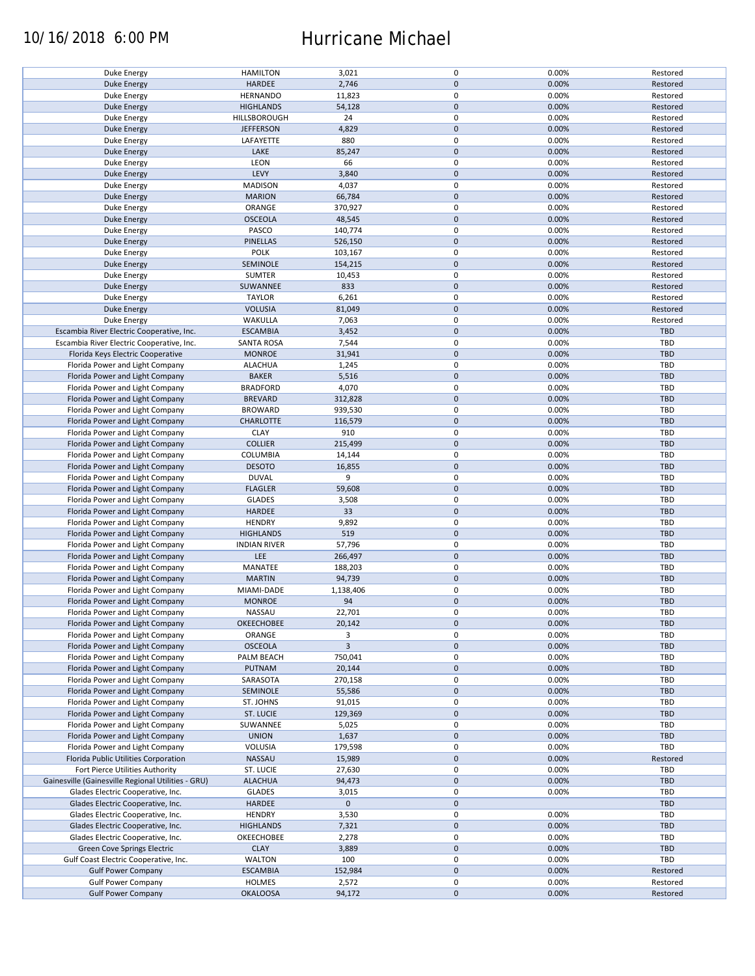### 10/16/2018 6:00 PM Hurricane Michael

| Duke Energy                                            | <b>HAMILTON</b>                  | 3,021           | 0                   | 0.00%          | Restored             |
|--------------------------------------------------------|----------------------------------|-----------------|---------------------|----------------|----------------------|
| <b>Duke Energy</b>                                     | <b>HARDEE</b>                    | 2,746           | $\mathbf 0$         | 0.00%          | Restored             |
| Duke Energy                                            | <b>HERNANDO</b>                  | 11,823          | 0                   | 0.00%          | Restored             |
|                                                        |                                  |                 | $\mathbf 0$         | 0.00%          |                      |
| <b>Duke Energy</b>                                     | <b>HIGHLANDS</b>                 | 54,128          |                     |                | Restored             |
| Duke Energy                                            | HILLSBOROUGH                     | 24              | 0                   | 0.00%          | Restored             |
| Duke Energy                                            | <b>JEFFERSON</b>                 | 4,829           | $\mathbf 0$         | 0.00%          | Restored             |
| Duke Energy                                            | LAFAYETTE                        | 880             | 0                   | 0.00%          | Restored             |
|                                                        |                                  |                 |                     |                |                      |
| Duke Energy                                            | LAKE                             | 85,247          | $\mathbf 0$         | 0.00%          | Restored             |
| Duke Energy                                            | LEON                             | 66              | 0                   | 0.00%          | Restored             |
| <b>Duke Energy</b>                                     | LEVY                             | 3,840           | $\mathbf 0$         | 0.00%          | Restored             |
|                                                        |                                  |                 | 0                   |                |                      |
| Duke Energy                                            | <b>MADISON</b>                   | 4,037           |                     | 0.00%          | Restored             |
| <b>Duke Energy</b>                                     | <b>MARION</b>                    | 66,784          | $\mathbf 0$         | 0.00%          | Restored             |
| Duke Energy                                            | ORANGE                           | 370,927         | 0                   | 0.00%          | Restored             |
| Duke Energy                                            | <b>OSCEOLA</b>                   | 48,545          | $\mathbf 0$         | 0.00%          | Restored             |
|                                                        |                                  |                 |                     |                |                      |
| Duke Energy                                            | PASCO                            | 140,774         | 0                   | 0.00%          | Restored             |
| <b>Duke Energy</b>                                     | <b>PINELLAS</b>                  | 526,150         | $\pmb{0}$           | 0.00%          | Restored             |
| Duke Energy                                            | <b>POLK</b>                      | 103,167         | 0                   | 0.00%          | Restored             |
|                                                        |                                  |                 |                     |                |                      |
| <b>Duke Energy</b>                                     | SEMINOLE                         | 154,215         | $\pmb{0}$           | 0.00%          | Restored             |
| Duke Energy                                            | SUMTER                           | 10,453          | 0                   | 0.00%          | Restored             |
| <b>Duke Energy</b>                                     | SUWANNEE                         | 833             | $\pmb{0}$           | 0.00%          | Restored             |
| Duke Energy                                            | <b>TAYLOR</b>                    | 6,261           | $\pmb{0}$           | 0.00%          | Restored             |
|                                                        |                                  |                 |                     |                |                      |
| <b>Duke Energy</b>                                     | <b>VOLUSIA</b>                   | 81,049          | $\pmb{0}$           | 0.00%          | Restored             |
| Duke Energy                                            | WAKULLA                          | 7,063           | $\pmb{0}$           | 0.00%          | Restored             |
| Escambia River Electric Cooperative, Inc.              | <b>ESCAMBIA</b>                  | 3,452           | $\mathbf 0$         | 0.00%          | <b>TBD</b>           |
|                                                        |                                  |                 |                     |                |                      |
| Escambia River Electric Cooperative, Inc.              | <b>SANTA ROSA</b>                | 7,544           | 0                   | 0.00%          | TBD                  |
| Florida Keys Electric Cooperative                      | <b>MONROE</b>                    | 31,941          | $\pmb{0}$           | 0.00%          | <b>TBD</b>           |
| Florida Power and Light Company                        | <b>ALACHUA</b>                   | 1,245           | 0                   | 0.00%          | TBD                  |
|                                                        |                                  |                 |                     |                |                      |
| Florida Power and Light Company                        | <b>BAKER</b>                     | 5,516           | $\pmb{0}$           | 0.00%          | <b>TBD</b>           |
| Florida Power and Light Company                        | <b>BRADFORD</b>                  | 4,070           | 0                   | 0.00%          | TBD                  |
| Florida Power and Light Company                        | <b>BREVARD</b>                   | 312,828         | $\pmb{0}$           | 0.00%          | <b>TBD</b>           |
|                                                        |                                  |                 | $\pmb{0}$           | 0.00%          | TBD                  |
| Florida Power and Light Company                        | <b>BROWARD</b>                   | 939,530         |                     |                |                      |
| Florida Power and Light Company                        | <b>CHARLOTTE</b>                 | 116,579         | $\mathsf{O}\xspace$ | 0.00%          | <b>TBD</b>           |
| Florida Power and Light Company                        | <b>CLAY</b>                      | 910             | 0                   | 0.00%          | TBD                  |
| Florida Power and Light Company                        | <b>COLLIER</b>                   | 215,499         | $\pmb{0}$           | 0.00%          | <b>TBD</b>           |
|                                                        |                                  |                 |                     |                |                      |
| Florida Power and Light Company                        | <b>COLUMBIA</b>                  | 14,144          | 0                   | 0.00%          | TBD                  |
| Florida Power and Light Company                        | <b>DESOTO</b>                    | 16,855          | $\mathbf 0$         | 0.00%          | <b>TBD</b>           |
| Florida Power and Light Company                        | <b>DUVAL</b>                     | 9               | 0                   | 0.00%          | TBD                  |
|                                                        |                                  |                 |                     |                |                      |
| Florida Power and Light Company                        | <b>FLAGLER</b>                   | 59,608          | $\mathbf 0$         | 0.00%          | <b>TBD</b>           |
| Florida Power and Light Company                        | <b>GLADES</b>                    | 3,508           | $\pmb{0}$           | 0.00%          | TBD                  |
| Florida Power and Light Company                        | HARDEE                           | 33              | $\pmb{0}$           | 0.00%          | <b>TBD</b>           |
|                                                        |                                  |                 | 0                   | 0.00%          | TBD                  |
| Florida Power and Light Company                        | <b>HENDRY</b>                    | 9,892           |                     |                |                      |
| Florida Power and Light Company                        | <b>HIGHLANDS</b>                 | 519             | $\mathbf 0$         | 0.00%          | <b>TBD</b>           |
| Florida Power and Light Company                        | <b>INDIAN RIVER</b>              | 57,796          | 0                   | 0.00%          | TBD                  |
| Florida Power and Light Company                        | LEE                              | 266,497         | $\mathbf 0$         | 0.00%          | <b>TBD</b>           |
|                                                        |                                  |                 |                     |                |                      |
| Florida Power and Light Company                        | MANATEE                          | 188,203         | $\pmb{0}$           | 0.00%          | TBD                  |
| Florida Power and Light Company                        | <b>MARTIN</b>                    | 94,739          | $\mathbf 0$         | 0.00%          | <b>TBD</b>           |
| Florida Power and Light Company                        | MIAMI-DADE                       | 1,138,406       | $\pmb{0}$           | 0.00%          | TBD                  |
|                                                        |                                  |                 |                     |                |                      |
| Florida Power and Light Company                        | <b>MONROE</b>                    | 94              | $\mathbf 0$         | 0.00%          | <b>TBD</b>           |
| Florida Power and Light Company                        | NASSAU                           | 22,701          | 0                   | 0.00%          | TBD                  |
| Florida Power and Light Company                        | <b>OKEECHOBEE</b>                | 20,142          | $\mathsf{O}\xspace$ | 0.00%          | <b>TBD</b>           |
|                                                        |                                  |                 |                     |                |                      |
| Florida Power and Light Company                        | ORANGE                           | 3               | 0                   | 0.00%          | TBD                  |
| Florida Power and Light Company                        | <b>OSCEOLA</b>                   | $\overline{3}$  | $\mathsf{O}\xspace$ | 0.00%          | <b>TBD</b>           |
| Florida Power and Light Company                        | PALM BEACH                       | 750,041         | 0                   | 0.00%          | TBD                  |
|                                                        |                                  |                 | $\pmb{0}$           | 0.00%          | <b>TBD</b>           |
| Florida Power and Light Company                        | <b>PUTNAM</b>                    | 20,144          |                     |                |                      |
| Florida Power and Light Company                        | SARASOTA                         | 270,158         | 0                   | 0.00%          | TBD                  |
| Florida Power and Light Company                        | SEMINOLE                         | 55,586          | $\mathbf 0$         | 0.00%          | <b>TBD</b>           |
| Florida Power and Light Company                        | ST. JOHNS                        | 91,015          | 0                   | 0.00%          | TBD                  |
|                                                        |                                  |                 |                     |                |                      |
| Florida Power and Light Company                        | ST. LUCIE                        | 129,369         | $\mathsf{O}\xspace$ | 0.00%          | <b>TBD</b>           |
| Florida Power and Light Company                        | SUWANNEE                         | 5,025           | 0                   | 0.00%          | TBD                  |
| Florida Power and Light Company                        | <b>UNION</b>                     | 1,637           | $\mathbf 0$         | 0.00%          | <b>TBD</b>           |
|                                                        |                                  |                 |                     |                |                      |
| Florida Power and Light Company                        |                                  |                 |                     |                |                      |
| Florida Public Utilities Corporation                   | VOLUSIA                          | 179,598         | 0                   | 0.00%          | TBD                  |
| Fort Pierce Utilities Authority                        | NASSAU                           | 15,989          | $\mathsf{O}\xspace$ | 0.00%          | Restored             |
|                                                        |                                  |                 |                     |                |                      |
|                                                        | ST. LUCIE                        | 27,630          | 0                   | 0.00%          | TBD                  |
| Gainesville (Gainesville Regional Utilities - GRU)     | <b>ALACHUA</b>                   | 94,473          | $\pmb{0}$           | 0.00%          | <b>TBD</b>           |
| Glades Electric Cooperative, Inc.                      | <b>GLADES</b>                    | 3,015           | 0                   | 0.00%          | TBD                  |
| Glades Electric Cooperative, Inc.                      | HARDEE                           | $\mathbf 0$     | $\mathbf 0$         |                | <b>TBD</b>           |
|                                                        |                                  |                 |                     |                |                      |
| Glades Electric Cooperative, Inc.                      | <b>HENDRY</b>                    | 3,530           | 0                   | 0.00%          | TBD                  |
| Glades Electric Cooperative, Inc.                      | <b>HIGHLANDS</b>                 | 7,321           | $\mathbf 0$         | 0.00%          | <b>TBD</b>           |
| Glades Electric Cooperative, Inc.                      | OKEECHOBEE                       | 2,278           | 0                   | 0.00%          | <b>TBD</b>           |
|                                                        |                                  |                 |                     |                |                      |
| Green Cove Springs Electric                            | <b>CLAY</b>                      | 3,889           | $\pmb{0}$           | 0.00%          | <b>TBD</b>           |
| Gulf Coast Electric Cooperative, Inc.                  | <b>WALTON</b>                    | 100             | 0                   | 0.00%          | TBD                  |
| <b>Gulf Power Company</b>                              | <b>ESCAMBIA</b>                  | 152,984         | $\mathbf 0$         | 0.00%          | Restored             |
|                                                        |                                  |                 | 0                   |                |                      |
| <b>Gulf Power Company</b><br><b>Gulf Power Company</b> | <b>HOLMES</b><br><b>OKALOOSA</b> | 2,572<br>94,172 | $\pmb{0}$           | 0.00%<br>0.00% | Restored<br>Restored |